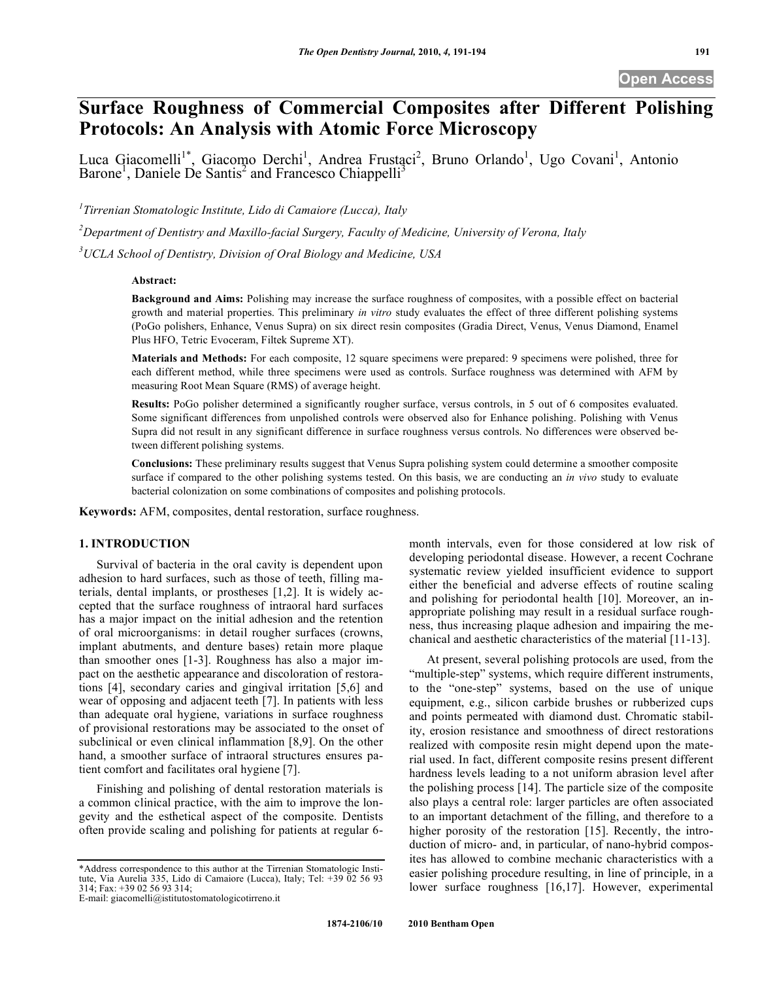# **Surface Roughness of Commercial Composites after Different Polishing Protocols: An Analysis with Atomic Force Microscopy**

Luca Giacomelli<sup>1\*</sup>, Giacomo Derchi<sup>1</sup>, Andrea Frustaci<sup>2</sup>, Bruno Orlando<sup>1</sup>, Ugo Covani<sup>1</sup>, Antonio Barone<sup>1</sup>, Daniele De Santis<sup>2</sup> and Francesco Chiappelli<sup>3</sup>

*1 Tirrenian Stomatologic Institute, Lido di Camaiore (Lucca), Italy*

*2 Department of Dentistry and Maxillo-facial Surgery, Faculty of Medicine, University of Verona, Italy*

*3 UCLA School of Dentistry, Division of Oral Biology and Medicine, USA*

#### **Abstract:**

**Background and Aims:** Polishing may increase the surface roughness of composites, with a possible effect on bacterial growth and material properties. This preliminary *in vitro* study evaluates the effect of three different polishing systems (PoGo polishers, Enhance, Venus Supra) on six direct resin composites (Gradia Direct, Venus, Venus Diamond, Enamel Plus HFO, Tetric Evoceram, Filtek Supreme XT).

**Materials and Methods:** For each composite, 12 square specimens were prepared: 9 specimens were polished, three for each different method, while three specimens were used as controls. Surface roughness was determined with AFM by measuring Root Mean Square (RMS) of average height.

**Results:** PoGo polisher determined a significantly rougher surface, versus controls, in 5 out of 6 composites evaluated. Some significant differences from unpolished controls were observed also for Enhance polishing. Polishing with Venus Supra did not result in any significant difference in surface roughness versus controls. No differences were observed between different polishing systems.

**Conclusions:** These preliminary results suggest that Venus Supra polishing system could determine a smoother composite surface if compared to the other polishing systems tested. On this basis, we are conducting an *in vivo* study to evaluate bacterial colonization on some combinations of composites and polishing protocols.

**Keywords:** AFM, composites, dental restoration, surface roughness.

## **1. INTRODUCTION**

Survival of bacteria in the oral cavity is dependent upon adhesion to hard surfaces, such as those of teeth, filling materials, dental implants, or prostheses [1,2]. It is widely accepted that the surface roughness of intraoral hard surfaces has a major impact on the initial adhesion and the retention of oral microorganisms: in detail rougher surfaces (crowns, implant abutments, and denture bases) retain more plaque than smoother ones [1-3]. Roughness has also a major impact on the aesthetic appearance and discoloration of restorations [4], secondary caries and gingival irritation [5,6] and wear of opposing and adjacent teeth [7]. In patients with less than adequate oral hygiene, variations in surface roughness of provisional restorations may be associated to the onset of subclinical or even clinical inflammation [8,9]. On the other hand, a smoother surface of intraoral structures ensures patient comfort and facilitates oral hygiene [7].

Finishing and polishing of dental restoration materials is a common clinical practice, with the aim to improve the longevity and the esthetical aspect of the composite. Dentists often provide scaling and polishing for patients at regular 6-

E-mail: giacomelli@istitutostomatologicotirreno.it

month intervals, even for those considered at low risk of developing periodontal disease. However, a recent Cochrane systematic review yielded insufficient evidence to support either the beneficial and adverse effects of routine scaling and polishing for periodontal health [10]. Moreover, an inappropriate polishing may result in a residual surface roughness, thus increasing plaque adhesion and impairing the mechanical and aesthetic characteristics of the material [11-13].

At present, several polishing protocols are used, from the "multiple-step" systems, which require different instruments, to the "one-step" systems, based on the use of unique equipment, e.g., silicon carbide brushes or rubberized cups and points permeated with diamond dust. Chromatic stability, erosion resistance and smoothness of direct restorations realized with composite resin might depend upon the material used. In fact, different composite resins present different hardness levels leading to a not uniform abrasion level after the polishing process [14]. The particle size of the composite also plays a central role: larger particles are often associated to an important detachment of the filling, and therefore to a higher porosity of the restoration [15]. Recently, the introduction of micro- and, in particular, of nano-hybrid composites has allowed to combine mechanic characteristics with a easier polishing procedure resulting, in line of principle, in a lower surface roughness [16,17]. However, experimental

<sup>\*</sup>Address correspondence to this author at the Tirrenian Stomatologic Institute, Via Aurelia 335, Lido di Camaiore (Lucca), Italy; Tel: +39 02 56 93 314; Fax: +39 02 56 93 314;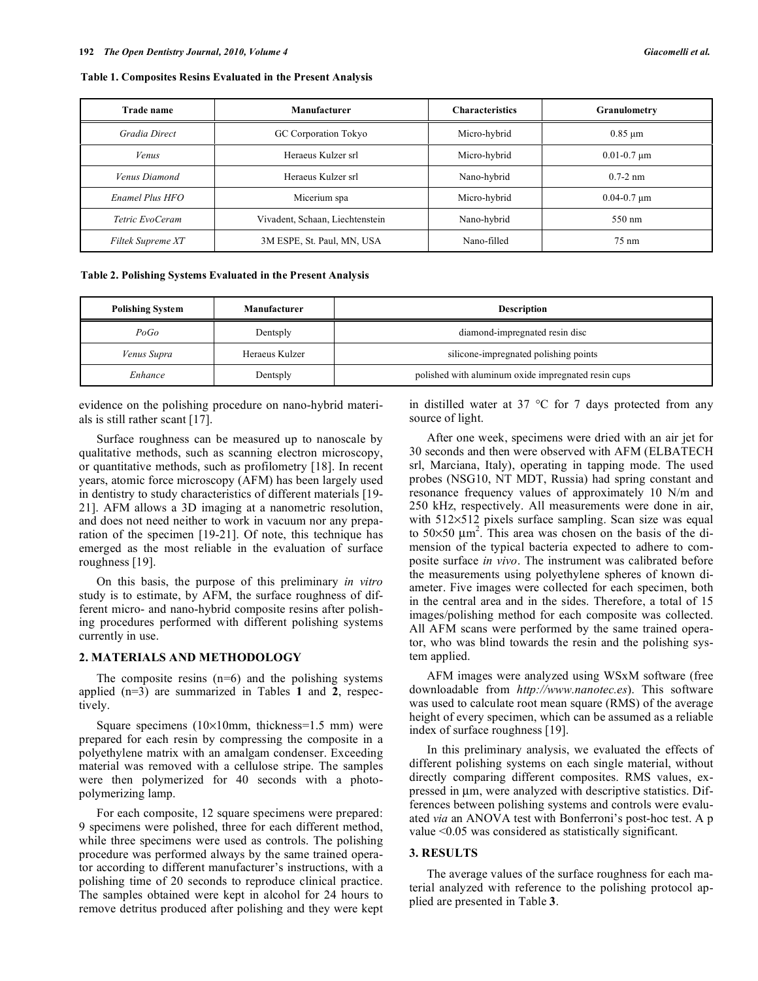| <b>Trade name</b> | Manufacturer                    | <b>Characteristics</b> | Granulometry         |  |
|-------------------|---------------------------------|------------------------|----------------------|--|
| Gradia Direct     | GC Corporation Tokyo            | Micro-hybrid           | $0.85 \mu m$         |  |
| Venus             | Heraeus Kulzer srl              | Micro-hybrid           | $0.01 - 0.7 \mu m$   |  |
| Venus Diamond     | Heraeus Kulzer srl              | Nano-hybrid            | $0.7 - 2 \text{ nm}$ |  |
| Enamel Plus HFO   | Micerium spa                    | Micro-hybrid           | $0.04 - 0.7 \mu m$   |  |
| Tetric EvoCeram   | Vivadent, Schaan, Liechtenstein | Nano-hybrid            | 550 nm               |  |
| Filtek Supreme XT | 3M ESPE, St. Paul, MN, USA      | Nano-filled            | 75 nm                |  |

**Table 2. Polishing Systems Evaluated in the Present Analysis**

| <b>Polishing System</b> | Manufacturer   | <b>Description</b>                                  |  |
|-------------------------|----------------|-----------------------------------------------------|--|
| PoGo                    | Dentsply       | diamond-impregnated resin disc                      |  |
| Venus Supra             | Heraeus Kulzer | silicone-impregnated polishing points               |  |
| Enhance                 | Dentsply       | polished with aluminum oxide impregnated resin cups |  |

evidence on the polishing procedure on nano-hybrid materials is still rather scant [17].

Surface roughness can be measured up to nanoscale by qualitative methods, such as scanning electron microscopy, or quantitative methods, such as profilometry [18]. In recent years, atomic force microscopy (AFM) has been largely used in dentistry to study characteristics of different materials [19- 21]. AFM allows a 3D imaging at a nanometric resolution, and does not need neither to work in vacuum nor any preparation of the specimen [19-21]. Of note, this technique has emerged as the most reliable in the evaluation of surface roughness [19].

On this basis, the purpose of this preliminary *in vitro* study is to estimate, by AFM, the surface roughness of different micro- and nano-hybrid composite resins after polishing procedures performed with different polishing systems currently in use.

## **2. MATERIALS AND METHODOLOGY**

The composite resins  $(n=6)$  and the polishing systems applied (n=3) are summarized in Tables **1** and **2**, respectively.

Square specimens  $(10\times10$ mm, thickness=1.5 mm) were prepared for each resin by compressing the composite in a polyethylene matrix with an amalgam condenser. Exceeding material was removed with a cellulose stripe. The samples were then polymerized for 40 seconds with a photopolymerizing lamp.

For each composite, 12 square specimens were prepared: 9 specimens were polished, three for each different method, while three specimens were used as controls. The polishing procedure was performed always by the same trained operator according to different manufacturer's instructions, with a polishing time of 20 seconds to reproduce clinical practice. The samples obtained were kept in alcohol for 24 hours to remove detritus produced after polishing and they were kept in distilled water at 37 °C for 7 days protected from any source of light.

After one week, specimens were dried with an air jet for 30 seconds and then were observed with AFM (ELBATECH srl, Marciana, Italy), operating in tapping mode. The used probes (NSG10, NT MDT, Russia) had spring constant and resonance frequency values of approximately 10 N/m and 250 kHz, respectively. All measurements were done in air, with  $512\times512$  pixels surface sampling. Scan size was equal to  $50 \times 50 \mu m^2$ . This area was chosen on the basis of the dimension of the typical bacteria expected to adhere to composite surface *in vivo*. The instrument was calibrated before the measurements using polyethylene spheres of known diameter. Five images were collected for each specimen, both in the central area and in the sides. Therefore, a total of 15 images/polishing method for each composite was collected. All AFM scans were performed by the same trained operator, who was blind towards the resin and the polishing system applied.

AFM images were analyzed using WSxM software (free downloadable from *http://www.nanotec.es*). This software was used to calculate root mean square (RMS) of the average height of every specimen, which can be assumed as a reliable index of surface roughness [19].

In this preliminary analysis, we evaluated the effects of different polishing systems on each single material, without directly comparing different composites. RMS values, expressed in µm, were analyzed with descriptive statistics. Differences between polishing systems and controls were evaluated *via* an ANOVA test with Bonferroni's post-hoc test. A p value <0.05 was considered as statistically significant.

## **3. RESULTS**

The average values of the surface roughness for each material analyzed with reference to the polishing protocol applied are presented in Table **3**.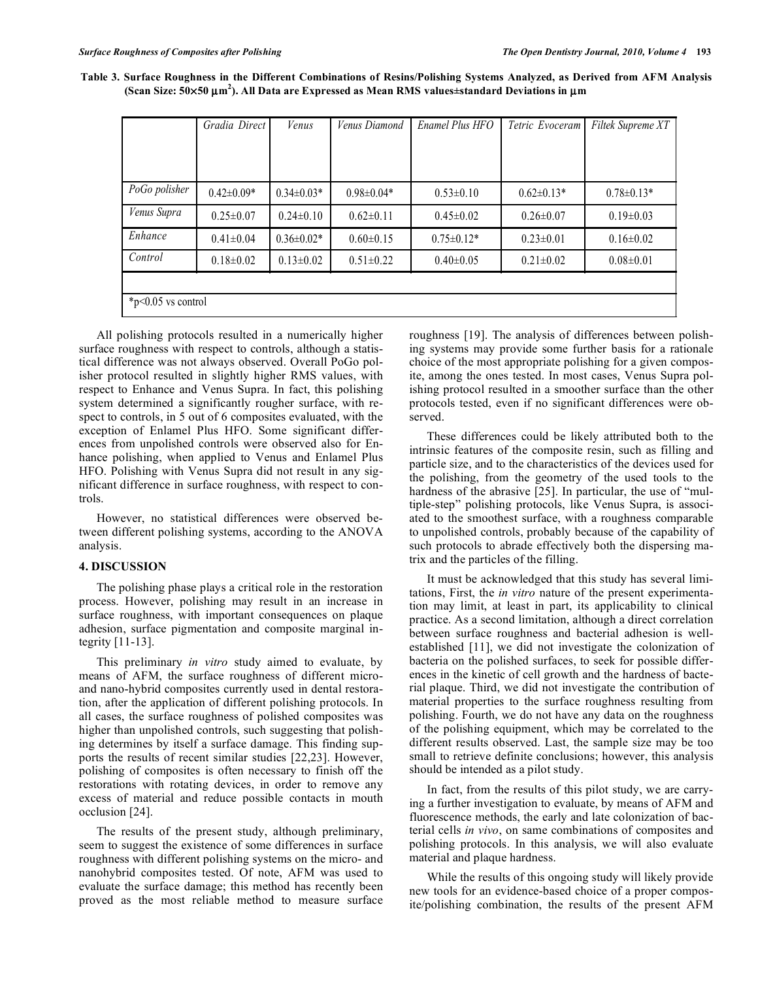|                       | Gradia Direct   | Venus            | Venus Diamond    | <b>Enamel Plus HFO</b> | Tetric Evoceram | Filtek Supreme XT |
|-----------------------|-----------------|------------------|------------------|------------------------|-----------------|-------------------|
|                       |                 |                  |                  |                        |                 |                   |
|                       |                 |                  |                  |                        |                 |                   |
| PoGo polisher         | $0.42\pm0.09*$  | $0.34 \pm 0.03*$ | $0.98 \pm 0.04*$ | $0.53 \pm 0.10$        | $0.62\pm0.13*$  | $0.78 \pm 0.13*$  |
| Venus Supra           | $0.25 \pm 0.07$ | $0.24 \pm 0.10$  | $0.62 \pm 0.11$  | $0.45 \pm 0.02$        | $0.26 \pm 0.07$ | $0.19 \pm 0.03$   |
| Enhance               | $0.41 \pm 0.04$ | $0.36 \pm 0.02*$ | $0.60 \pm 0.15$  | $0.75 \pm 0.12*$       | $0.23 \pm 0.01$ | $0.16 \pm 0.02$   |
| Control               | $0.18 \pm 0.02$ | $0.13 \pm 0.02$  | $0.51 \pm 0.22$  | $0.40 \pm 0.05$        | $0.21 \pm 0.02$ | $0.08 \pm 0.01$   |
|                       |                 |                  |                  |                        |                 |                   |
| * $p<0.05$ vs control |                 |                  |                  |                        |                 |                   |

Table 3. Surface Roughness in the Different Combinations of Resins/Polishing Systems Analyzed, as Derived from AFM Analysis **(Scan Size: 50**!**50** µ**m<sup>2</sup> ). All Data are Expressed as Mean RMS values±standard Deviations in** µ**m**

All polishing protocols resulted in a numerically higher surface roughness with respect to controls, although a statistical difference was not always observed. Overall PoGo polisher protocol resulted in slightly higher RMS values, with respect to Enhance and Venus Supra. In fact, this polishing system determined a significantly rougher surface, with respect to controls, in 5 out of 6 composites evaluated, with the exception of Enlamel Plus HFO. Some significant differences from unpolished controls were observed also for Enhance polishing, when applied to Venus and Enlamel Plus HFO. Polishing with Venus Supra did not result in any significant difference in surface roughness, with respect to controls.

However, no statistical differences were observed between different polishing systems, according to the ANOVA analysis.

# **4. DISCUSSION**

The polishing phase plays a critical role in the restoration process. However, polishing may result in an increase in surface roughness, with important consequences on plaque adhesion, surface pigmentation and composite marginal integrity [11-13].

This preliminary *in vitro* study aimed to evaluate, by means of AFM, the surface roughness of different microand nano-hybrid composites currently used in dental restoration, after the application of different polishing protocols. In all cases, the surface roughness of polished composites was higher than unpolished controls, such suggesting that polishing determines by itself a surface damage. This finding supports the results of recent similar studies [22,23]. However, polishing of composites is often necessary to finish off the restorations with rotating devices, in order to remove any excess of material and reduce possible contacts in mouth occlusion [24].

The results of the present study, although preliminary, seem to suggest the existence of some differences in surface roughness with different polishing systems on the micro- and nanohybrid composites tested. Of note, AFM was used to evaluate the surface damage; this method has recently been proved as the most reliable method to measure surface roughness [19]. The analysis of differences between polishing systems may provide some further basis for a rationale choice of the most appropriate polishing for a given composite, among the ones tested. In most cases, Venus Supra polishing protocol resulted in a smoother surface than the other protocols tested, even if no significant differences were observed.

These differences could be likely attributed both to the intrinsic features of the composite resin, such as filling and particle size, and to the characteristics of the devices used for the polishing, from the geometry of the used tools to the hardness of the abrasive [25]. In particular, the use of "multiple-step" polishing protocols, like Venus Supra, is associated to the smoothest surface, with a roughness comparable to unpolished controls, probably because of the capability of such protocols to abrade effectively both the dispersing matrix and the particles of the filling.

It must be acknowledged that this study has several limitations, First, the *in vitro* nature of the present experimentation may limit, at least in part, its applicability to clinical practice. As a second limitation, although a direct correlation between surface roughness and bacterial adhesion is wellestablished [11], we did not investigate the colonization of bacteria on the polished surfaces, to seek for possible differences in the kinetic of cell growth and the hardness of bacterial plaque. Third, we did not investigate the contribution of material properties to the surface roughness resulting from polishing. Fourth, we do not have any data on the roughness of the polishing equipment, which may be correlated to the different results observed. Last, the sample size may be too small to retrieve definite conclusions; however, this analysis should be intended as a pilot study.

In fact, from the results of this pilot study, we are carrying a further investigation to evaluate, by means of AFM and fluorescence methods, the early and late colonization of bacterial cells *in vivo*, on same combinations of composites and polishing protocols. In this analysis, we will also evaluate material and plaque hardness.

While the results of this ongoing study will likely provide new tools for an evidence-based choice of a proper composite/polishing combination, the results of the present AFM